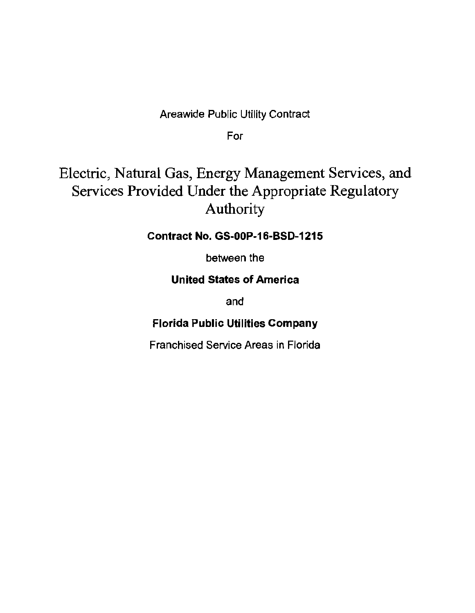Areawide Public Utility Contract

For

# Electric, Natural Gas, Energy Management Services, and Services Provided Under the Appropriate Regulatory Authority

Contract No. GS-OOP-16-BSD-1215

between the

### United States of America

and

### Florida Public Utilities Company

Franchised Service Areas in Florida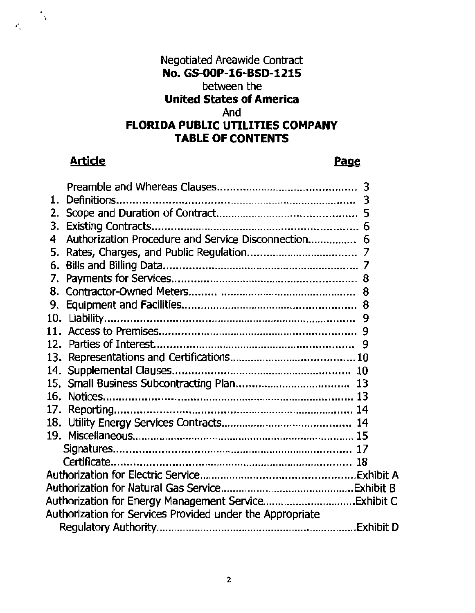## Negotiated Areawide Contract No. GS-OOP-16-BSD-1215 between the United States of America And FLORIDA PUBLIC UTILITIES COMPANY TABLE OF CONTENTS

## Article **Page**

 $\ddot{\phantom{a}}$ .

 $\ddot{\cdot}$ .

| 1.  |                                                           |  |
|-----|-----------------------------------------------------------|--|
|     |                                                           |  |
|     |                                                           |  |
| 4   | Authorization Procedure and Service Disconnection 6       |  |
| 5.  |                                                           |  |
| 6.  |                                                           |  |
| 7.  |                                                           |  |
|     |                                                           |  |
|     |                                                           |  |
|     |                                                           |  |
|     |                                                           |  |
|     |                                                           |  |
| 13. |                                                           |  |
|     |                                                           |  |
|     |                                                           |  |
|     |                                                           |  |
| 17. |                                                           |  |
|     |                                                           |  |
|     |                                                           |  |
|     |                                                           |  |
|     |                                                           |  |
|     |                                                           |  |
|     |                                                           |  |
|     |                                                           |  |
|     | Authorization for Services Provided under the Appropriate |  |
|     |                                                           |  |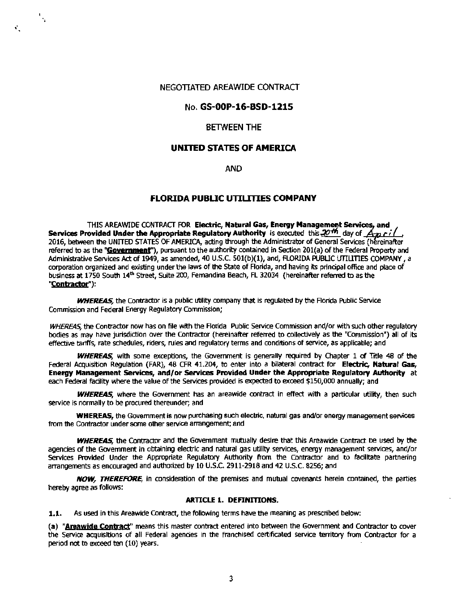#### NEGOTIATED AREAWIDE CONTRACT

..

 $\mathbf{v}_1$ 

#### No. GS·OOP-16-BSD-1215

#### BETWEEN THE

#### UNITED STATES OF AMERICA

#### AND

#### FLORIDA PUBLIC UTILITIES COMPANY

THIS AREAWIDE CONTRACT FOR Electric, Natural Gas, Energy Management Services, and Services Provided Under the Appropriate Regulatory Authority is executed this  $20^{th}$  day of  $\overrightarrow{A}_{22}$  r i ( 2016, between the UNITED STATES OF AMERICA, acting through the Administrator of General Services (hereinafter referred to as the "Government"), pursuant to the authority contained in Section 201(a) of the Federal Property and Administrative Services Act of 1949, as amended, 40 U.S.C. 501(b)(1), and, FLORIDA PUBLIC UTILITIES COMPANY, a corporation organized and existing under the laws of the State of Florida, and having its principal office and place of business at 1750 South 14<sup>th</sup> Street, Suite 200, Fernandina Beach, FL 32034 (hereinafter referred to as the "Contractor"):

**WHEREAS**, the Contractor is a public utility company that is regulated by the Florida Public Service Commission and Federal Energy Regulatory Commission;

*WHEREAS,* the Contractor now has on file with the Florida Public Service Commission and/or with such other regulatory bodies as may have jurisdiction over the Contractor (hereinafter referred to collectively as the "Commission") all of its effective tariffs, rate schedules, riders, rules and regulatory terms and conditions of service, as applicable; and

WHEREAS, with some exceptions, the Government is generally required by Chapter 1 of Title 48 of the Federal Acquisition Regulation (FAR), 48 CFR 41.204, to enter into a bilateral contract for Electric, Natural Gas, Energy Management Services, and/or Services Provided Under the Appropriate Regulatory Authority at each Federal facility where the value of the Services provided is expected to exceed \$150,000 annually; and

WHEREAS, where the Government has an areawide contract in effect with a particular utility, then such service is normally to be procured thereunder; and

WHEREAS, the Government is now purchasing such electric, natural gas and/or energy management services from the Contractor under some other service arrangement; and

WHEREAS, the Contractor and the Government mutually desire that this Areawide Contract be used by the agencies of the Government in obtaining electric and natural gas utility services, energy management services, and/or Services Provided Under the Appropriate Regulatory Authority from the Contractor and to facilitate partnering arrangements as encouraged and authorized by 10 U.S.C. 2911-2918 and 42 U.S.C. 8256; and

NOW, THEREFORE, in consideration of the premises and mutual covenants herein contained, the parties hereby agree as follows:

#### ARTICLE 1. DEFINITIONS.

1.1. As used in this Areawide Contract, the following terms have the meaning as prescribed below:

(a) "Areawide Contract" means this master contract entered into between the Government and Contractor to cover the Service acquisitions of all Federal agencies in *the* franchised certificated service territory from Contractor for a period not to exceed ten (10) years.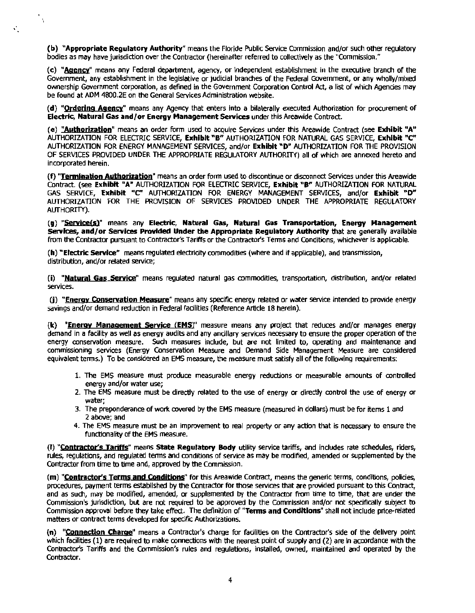(b) "Appropriate Regulatory Authority" means the Floride Public Service Commission and/or such other regulatory bodies as may have jurisdiction over the Contractor (hereinafter referred to collectively as the "Commission."

 $\mathbf{y} = \mathbf{y}$ 

(c) "Aaency" means any Federal department, agency, or Independent establishment in the executive branch of the Government, any establishment in the legislative or judicial branches of the Federal Government, or any wholly/mixed ownership Government corporation, as defined in the Government Corporation Control Act, a list of which Agencies may be found at ADM 4800.2E on the General Services Administration website.

(d) "Ordering Agency" means any Agency that enters into a bilaterally executed Authorization for procurement of Electric, Natural Gas and/or Energy Management Services under this Areawide Contract.

(e) "Authorization" means an order form used to acquire Services under this Areawide Contract (see Exhibit "A" AUTHORIZATION FOR ELECTRIC SERVICE, Exhibit "B" AUTHORIZATION FOR NATURAL GAS SERVICE, Exhibit "C" AUTHORIZATION FOR ENERGY MANAGEMENT SERVICES, and/or Exhibit "D" AUTHORIZATION FOR THE PROVISION OF SERVICES PROVIDED UNDER THE APPROPRIATE REGULATORY AUTHORITY) all of which are annexed hereto and incorporated herein.

(f) "Termination Authorization" means an order form used to discontinue or disconnect Services under this Areawide Contract. (see Exhibit "A" AUTHORIZATION FOR ELECTRIC SERVICE, Exhibit "B" AUTHORIZATION FOR NATURAL GAS SERVICE, Exhibit *"C'* AUTHORIZATION FOR ENERGY MANAGEMENT SERVICES, and/or Exhibit "D" AUTHORIZATION FOR THE PROVISION OF SERVICES PROVIDED UNDER THE APPROPRIATE REGULATORY AUTHORITY).

(g) "Service(s)" means any Electric, Natural Gas, Natural Gas Transportation, Energy Management Services, and/or Services Provided Under the Appropriate Regulatory Authority that are generally available from the Contractor pursuant to Contractor's Tariffs or the Contractor's Terms and Conditions, whichever is applicable.

(h) "Electric Service" means regulated electricity commodities (where and if applicable), and transmission, distribution, and/or related service;

(i) "Natural Gas Service" means regulated natural gas commodities, transportation, distribution, and/or related services.

(i) "Energy Conservation Measure" means any specific energy related or water service intended to provide energy savings and/or demand reduction in Federal facilities (Reference Article 18 herein).

(k) "Energy Management Service (EMS)" measure means any project that reduces and/or manages energy demand in a facility as well as energy audits and any ancillary services necessary to ensure the proper operation of the energy conservation measure. Such measures include, but are not limited to, operating and maintenance and commissioning services (Energy Conservation Measure and Demand Side Management Measure are considered equivalent terms.) To be considered an EMS measure, the measure must satisfy all of the following requirements:

- 1. The EMS measure must produce measurable energy reductions or measurable amounts of controlled energy and/or water use;
- 2. The EMS measure must be directly related to the use of energy or directly control the use of energy or water;
- 3. The preponderance of work covered by the EMS measure (measured in dollars) must be for items 1 and 2 above; and
- 4. The EMS measure must be an improvement to real property or any action that is necessary to ensure the functionality of the EMS measure.

(I) "Contractor's Tariffs" means State Regulatory Body utility service tariffs, and includes rate schedules, riders, rules, regulations, and regulated tenns and conditions of service as may be modified, amended or supplemented by the Contractor from time to time and, approved by the Commission.

(m) "Contractor's Terms and Conditions" for this Areawide Contract, means the generic terms, conditions, policies, procedures, payment terms established by the Contractor for those services that are provided pursuant to this Contract, and as such, may be modified, amended, or supplemented by the Contractor from time to time, that are under the Commission's jurisdiction, but are not required to be approved by the Commission and/or not specifically subject to Commission approval before they take effect. The definition of "Terms and Conditions" shall not include price-related matters or contract terms developed for specific Authorizations.

(n) "Connection Charge" means a Contractor's charge for facilities on the Contractor's side of the delivery point which facilities (1) are required to make connections with the nearest point of supply and (2) are in accordance with the Contractor's Tariffs and the Commission's rules and regulations, installed, owned, maintained and operated by the Contractor.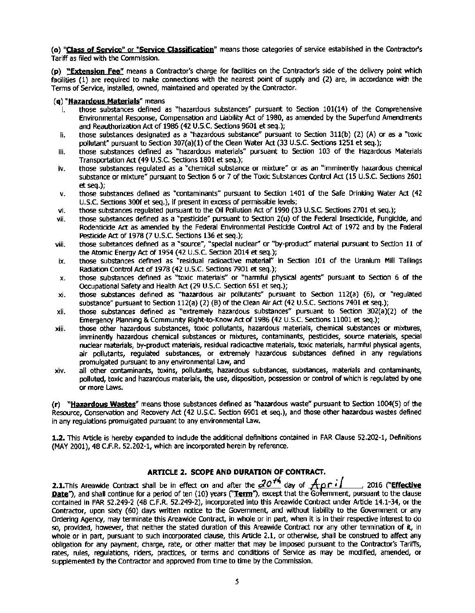(o) "Class of Service" or "Service Classification" means those categories of service established in the Contractor's Tariff as filed with the Commission.

(p) "Extension Fee" means a Contractor's charge for facilities on the Contractor's side of the delivery point which facilities (1) are required to make connections with the nearest point of supply and (2) are, in accordance with the Terms of Service, installed, owned, maintained and operated by the Contractor.

#### (q) "Hazardous Materials" means

- i. those substances defined as "hazardous substances" pursuant to Section 101(14) of the Comprehensive Environmental Response, Compensation and Liability Act of 1980, as amended by the Superfund Amendments and Reauthorization Act of 1986 (42 U.S.C. Sections 9601 et seq.);
- ii. those substances designated as a "hazardous substance" pursuant to Section 311(b) (2) (A) or as a "toxic pollutant" pursuant to Section 307(a)(1) of the Clean Water Act (33 U.S.C. Sections 1251 et seq.);
- iii. those substances defined as "hazardous materials" pursuant to Section 103 of the Hazardous Materials Transportation Act (49 U.S.C. Sections 1801 et seq.);
- iv. Ithose substances regulated as a "chemical substance or mixture" or as an "imminently hazardous chemical substance or mixture" pursuant to Section 6 or 7 of the Toxic Substances Control Act (15 U.S.C. Sections 2601 et seq.);
- v. those substances defined as "contaminants" pursuant to Section 1401 of the Safe Drinking Water Act (42 u.s.c. Sections 300f et seq.), if present In excess of permissible levels;
- vi. those substances regulated pursuant to the Oil Pollution Act of 1990 (33 U.S.C. Sections 2701 et seq.);
- vii. those substances defined as a "pesticide" pursuant to Section 2(u) of the Federal Insecticide, Fungicide, and Rodenticicle Act as amended by the Federal Environmental Pesticide Control Act of 1972 and by the Federal Pesticide Act of 1978 (7 U.S.C. Sections 136 et seq.);
- viii. those substances defined as a "source", "special nuclear" or "by-product" material pursuant to Section 11 of the Atomic Energy Act of 1954 (42 U.S.C. Section 2014 et seq.);
- ix. those substances defined as "residual radioactive material" in Section 101 of the Uranium Mill Tailings Radiation Control Act of 1978 (42 U.S.C. Sections 7901 et seq.);
- x. those substances defined as "toxic materials" or "harmful physical agents" pursuant to Section 6 of the Occupational Safety and Health Act (29 U.S.C. Section 651 et seq.);
- xi. those substances defined as "hazardous air pollutants" pursuant to Section 112(a) (6), or "regulated substance" pursuant to Section 112(a) (2) (B) of the Clean Air Act (42 U.S.C. Sections 7401 et seq.);
- xii. those substances defined as "extremely hazardous substances" pursuant to Section 302(a)(2) of the Emergency Planning & Community Right-to-Know Act of 1986 (42 U.S.C. Sections 11001 et seq.);
- xiii. those other hazardous substances, toxic pollutants, hazardous materials, chemical substances or mixtures, imminently hazardous chemical substances or mixtures, contaminants, pesticides, source materials, special nuclear materials, by-product materials, residual radioactive materials, toxic materials, harmful physical agents, air pollutants, regulated substances, or extremely hazardous substances defined in any regulations promulgated pursuant to any environmental law, and
- xiv. all other contaminants, toxins, pollutants, hazardous substances, substances, materials and contaminants, polluted, toxic and hazardous materials, the use, disposition, possession or control of which is regulated by one or more laws.

(r) "Hazardous Wastes" means those substances defined as "hazardous waste" pursuant to Section 1004(5) of the Resource, Conservation and Recovery Act (42 U.S.C. Section 6901 et seq.), and those other hazardous wastes defined in any regulations promulgated pursuant to any environmental law.

1.2. This Article is hereby expanded to indude the additional definitions contained in FAR Clause 52.202-1, Definitions (MAY 2001), 48 C.F.R. 52.202-1, which are incorporated herein by reference.

### ARTICLE 2. SCOPE AND DURATION OF CONTRACT.

2.1.This Areawide Contract shall be in effect on and after the  $\partial$ O<sup>+4</sup> day of  $A$ pril, 2016 ("**Effective** Date"), and shall continue for a period of ten (10) years ("Term"), except that the Government, pursuant to the clause contained in FAR 52.249-2 (48 C.F.R. 52.249-2), incorporated into this Areawide Contract under Article 14.1-34, or the Contractor, upon sixty (60) days written notice to the Government, and without liability to the Government or any Ordering Agency, may terminate this Areawide Contract, in whole or in part, when it is in their respective interest to do so, provided, however, that neither the stated duration of this Areawide Contract nor any other tennination of it, in whole or in part, pursuant to such incorporated clause, this Article 2.1, or otherwise, shall be construed to affect any obligation for any payment, charge, rate, or other matter that may be imposed pursuant to the Contractor's Tariffs, rates, rules, regulations, riders, practices, or terms and conditions of Service as may be modified, amended, or supplemented by the Contractor and approved from time to time by the Commission.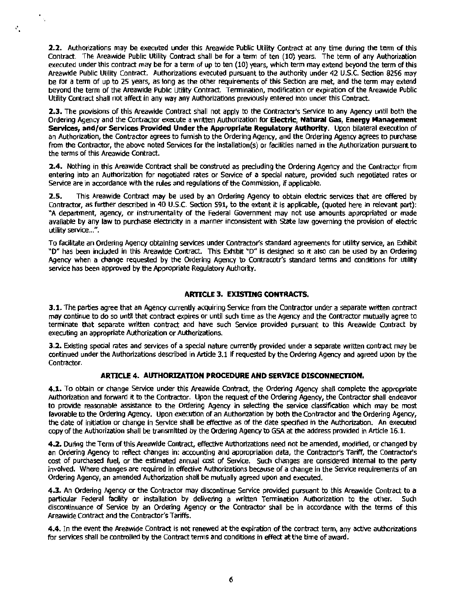2.2. Authorizations may be executed under this Areawide Public Utility Contract at any time during the tenn of this Contract. The Areawide Public Utllity Contract shall be for a term of ten (10) years. The tenn of any Authorization executed under this contract may be for a term of up to ten (10) years, which term may extend beyond the term of this Areawide Public Utility Contract. Authorizations executed pursuant to the authority under 42 U.S.C. Section 8256 may be for a term of up to 25 years, as long as the other requirements of this Section are met, and the tenn may extend beyond the term of the Areawide Public Utility Contract. Termination, modification or expiration of the Areawide Public Utility Contract shall not affect in any way any Authorizations previously entered into under this Contract.

 $\ddot{\phantom{a}}$  .

÷.

2.3. The provisions of this Areawide Contract shall not apply to the Contractor's Service to any Agency until both the Ordering Agency and the Contractor execute a written Authorization for Electric, Natural Gas, Energy Management Services, and/or Services Provided Under the Appropriate Requiatory Authority. Upon bilateral execution of an Authorization, the Contractor agrees to furnish to the Ordering Agency, and the Ordering Agency agrees to purchase from the Contractor, the above noted Services for the installation(s) or facilities named in the Authorization pursuant to the terms of this Areawide Contract.

2.4. Nothing in this Areawide Contract shall be construed as precluding the Ordering Agency and the Contractor from entering into an Authorization for negotiated rates or Service of a special nature, provided such negotiated rates or Service are in accordance with the rules and regulations of the Commission, if applicable.

2.5. This Areawide Contract may be used by an Ordering Agency to obtain electric services that are offered by Contractor, as further described in 40 U.S.C. Section 591, to the extent it Is applicable, (quoted here in relevant part): "A department, agency, or instrumentality of the Federal Government may not use amounts appropriated or made available by any law to purchase electricity in a manner inconsistent with State law governing the provision of electric utility service...".

To facilitate an Ordering Agency obtaining services under Contractor's standard agreements for utility service, an Exhibit "D" has been induded in this Areawide Contract. This Exhibit "D" is designed so it also can be used by an Ordering Agency when a change requested by the Ordering Agency to Contracotr's standard terms and conditions for utility service has been approved by the Appropriate Regulatory Authority.

#### ARTICLE 3. EXISTING CONTRACTS.

3.1. The parties agree that an Agency currently acquiring Service from the Contractor under a separate written contract may continue to do so until that contract expires or until such time as the Agency and the Contractor mutually agree to terminate that separate written contract and have such Service provided pursuant to this Areawide Contract by executing an appropriate Authorization or Authorizations.

3.2. Existing special rates and services of a special nature currently provided under a separate written contract may be continued under the Authorizations described in Article 3.1 if requested by the Ordering Agency and agreed upon by the Contractor.

#### ARTICLE 4. AUTHORIZATION PROCEDURE AND SERVICE DISCONNECTION.

4.1. To obtain or change Service under this Areawide Contract, the Ordering Agency shall complete the appropriate Authorization and forward it to the Contractor. Upon the request of the Ordering Agency, the Contractor shall endeavor to provide reasonable assistance to the Ordering Agency in selecting the service classification which may be most favorable to the Ordering Agency. Upon execution of an Authorization by both the Contractor and the Ordering Agency, the date of initiation or change in Service shall be effective as of the date specified in the Authorization. An executed copy of the Authorization shall be transmitted by the Ordering Agency to GSA at the address provided in Article 16.1.

4.2. During the Term of this Areawide Contract, effective Authorizations need not be amended, modified, or changed by an Ordering Agency to reflect changes in: accounting and appropriation data, the Contractor's Tariff, the Contractor's cost of purchased fuel, or the estimated annual cost of Service. Such changes are considered internal to the party involved. Where changes are required in effective Authorizations because of a change in the Service requirements of an Ordering Agency, an amended Authorization shall be mutually agreed upon and executed.

4.3. An Ordering Agency or the Contractor may discontinue Service provided pursuant to this Areawide Contract to a particular Federal facility or installation by delivering a written Tennination Authorization to the other. Such discontinuance of Service by an Ordering Agency or the Contractor shall be in accordance with the terms of this Areawide Contract and the Contractor's Tariffs.

4.4. In the event the Areawide Contract is not renewed at the expiration of the contract term, any active authorizations for services shall be controlled by the Contract terms and conditions in effect at the time of award.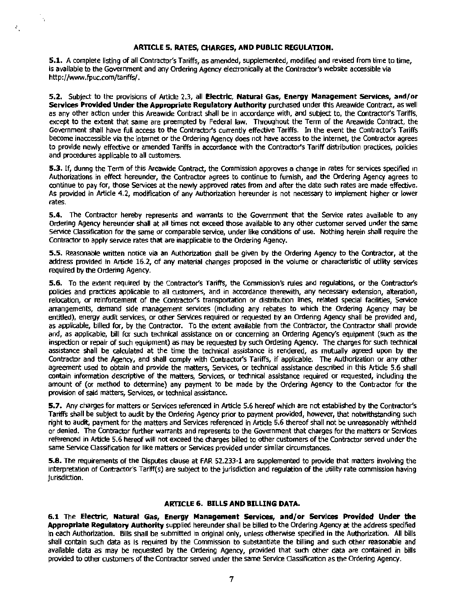#### ARTICLE 5. RATES, CHARGES, AND PUBUC REGULATION.

"

 $\mathcal{C}_{\mathcal{A}}$ 

5.1. A complete listing of all Contractor's Tariffs, as amended, supplemented, modified and revised from time to time, Is available to the Government and any Ordering Agency electronically at the Contractor's website accessible via http://www.fpuc.com/tariffs/.

5.2. Subject to the provisions of Article 2.3, all Electric, Natural Gas, Energy Management Services, and/or Services Provided Under the Appropriate Regulatory Authority purchased under this Areawide Contract, as well as any other action under this Areawide Contract shall be in accordance with, and subject to, the Contractor's Tariffs, except to the extent that same are preempted by Federal law. Throughout the Term of the Areawide Contract, the Government shall have full access to the Contractor's currently effective Tariffs. In the event the Contractor's Tariffs become inaccessible via the internet or the Ordering Agency does not have access to the internet, the Contractor agrees to provlde newly effective or amended Tariffs in accordance with the Contractor's Tariff distribution practices, policies and procedures applicable to all customers.

5.3. If, dunng the Term of this Areawide Contract, the Commission approves a change in rates for services specified in Authorizations in effect hereunder, the Contractor agrees to continue to furnish, and the Ordering Agency agrees to continue to pay for, those Services at the newly approved rates from and after the date such rates are made effective. As provided in Article 4.2, modification of any Authorization hereunder is not necessary to implement higher or lower rates.

5.4. The Contractor hereby represents and warrants to the Government that the Service rates available to any Ordering Agency hereunder shall at all times not exceed those available to any other customer served under the same Service Classification for the same or comparable service, under like conditions of use. Nothing herein shall require the Contractor to apply service rates that are inapplicable to the Ordering Agency.

5.5. Reasonable written notice via an Authorization shall be given by the Ordering Agency to the Contractor, at the address provided in Artide 16.2, of any material changes proposed in the volume or characteristic of utility services required by the Ordering Agency.

5.6. To the extent required by the Contractor's Tariffs, the Commission's rules and regulations, or the Contractor's policies and practices applicable to all customers, and in accordance therewith, any necessary extension, alteration, relocation, or reinforcement of the Contractor's transportation or distribution lines, related special facilities, Service arrangements, demand side management services (including any rebates to which the Ordering Agency may be entitled), energy audit services, or other Services required or requested by an Ordering Agency shall be provided and, as applicable, billed for, by the Contractor. To the extent available from the Contractor, the Contractor shall provide and, as applicable, bill for such technical assistance on or concerning an Ordering Agency's equipment (such as the inspection or repair of such equipment) as may be requested by such Ordering Agency. The charges for such technical assistance shall be calculated at the time the technical assistance is rendered, as mutually agreed upon by the Contractor and the Agency, and shall comply with Contractor's Tariffs, If applicable. The Authorization or any other agreement used to obtain and provide the matters, Services, or technical assistance described in this Article 5.6 shall contain information descriptive of the matters, Services, or technical assistance required or requested, including the amount of (or method to determine) any payment to be made by the Ordering Agency to the Contractor for the provision of said matters, Services, or technical assistance.

5.7. Any charges for matters or Services referenced in Article 5.6 hereof which are not established by the Contractor's Tariffs shall be subject to audit by the Ordering Agency prior to payment provided, however, that notwithstanding such right to audit, payment for the matters and Services referenced in Article 5.6 thereof shall not be unreasonably withheld or denied. The Contractor further warrants and represents to the Government that charges for the matters or Services referenced in Artide 5.6 hereof will not exceed the charges billed to other customers of the Contractor served under the same Service Classification for like matters or Services provided under similar circumstances.

5.8. The requirements of the Disputes clause at FAR 52.233-1 are supplemented to provide that matters involving the interpretation of Contractor's Tariff(s) are subject to the jurisdiction and regulation of the utility rate commission having jurisdiction.

#### ARTICLE 6. BILLS AND BILLING DATA.

6.1 The Electric, Natural Gas, Energy Management Services, and/or Services Provided Under the Appropriate Regulatory Authority supplied hereunder shall be billed to the Ordering Agency at the address specified In each Authorization. Bills shall be submitted In original only, unless otherwise specified In the Authorization. AH bills shall contain such data as is required by the Commission to substantiate the billing and such other reasonable and available data as may be requested by the Ordering Agency, provided that such other data are contained in bills provided to other customers of the Contractor served under the same Service Classification as the Ordering Agency.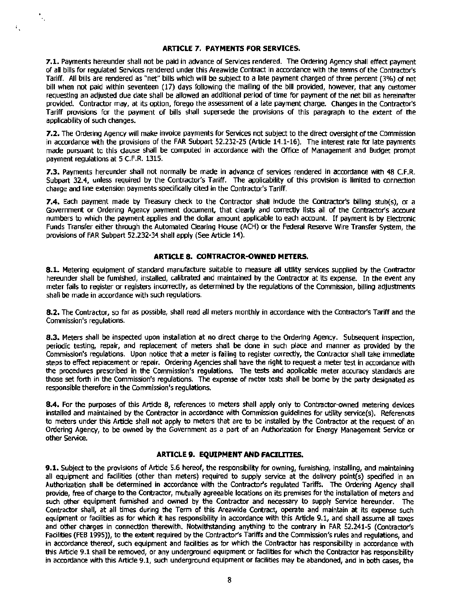#### **ARTICLE 7. PAYMENTS FOR SERVICES.**

÷,

 $\mathcal{E}_\perp$ 

**7.1.** Payments hereunder shall not be paid in advance of Services rendered. The Ordering Agency shall effect payment of all bills for regulated Services rendered under this Areawide Contract In accordance with the terms of the Contractor's Tariff. All bllls are rendered as "net" bills which will be subject to a late payment charged of three percent (3%) of net bill when not paid within seventeen (17) days followlng the malling of the bill provided, however, that any customer requesting an adjusted due date shall be allowed an additional period of time for payment of the net bill as hereinafter provided. Contractor may, at its option, forego the assessment of a late payment charge. Changes in the Contractor's Tariff provisions for the payment of bills shall supersede the provisions of this paragraph to the extent of the applicability of such changes.

**7.2.** The Ordering Agency will make invoice payments for Services not subject to the direct oversight ofthe Commission in accordance with the provisions of the FAR Subpart 52.232-25 (Article 14.1-16). The interest rate for late payments made pursuant to this dause shall be computed in accordance with the Office of Management and Budget prompt payment regulations at 5 C.F.R. 1315.

**7.3.** Payments hereunder shall not normally be made in advance of services rendered in accordance with 48 C.F.R. Subpart 32.4, unless required by the Contractor's Tariff. The applicability of this provision is limited to connection charge and line extension payments specifically cited In the Contractor's Tariff.

**7.4.** Each payment made by Treasury check to the Contractor shall indude the Contractor's billing stub(s), or a Government or Ordering Agency payment document, that clearly and correctly lists all of the Contractor's account numbers to which the payment applies and the dollar amount applicable to each account. If payment is by Electronic Funds Transfer either through the Automated Clearing House (ACH) or the Federal Reserve Wire Transfer System, the provisions of FAR Subpart 52.232-34 shall apply (See Article 14).

#### **ARTICLE 8. CONTRACTOR-OWNED METERS.**

**8-1-** Metering equipment of standard manufacture suitable to measure all utility services supplied by the Contractor hereunder shall be furnished, installed, calibrated and maintained by the Contractor at its expense. In the event any meter fails to register or registers incorrectly, as determined by the regulations of the Commission, billing adjustments shall be made in accordance with such regulations.

**8.2.** The Contractor, so far as possible, shall read all meters monthly in accordance with the Contractor's Tariff and the Commission's regulations.

**8.3.** Meters shall be inspected upon installation at no direct charge to the Ordering Agency. Subsequent inspection, periodic testing, repair, and replacement of meters shall be done in such place and manner as provided by the Commission's regulations. Upon notice that a meter is failing to register correctly, the Contractor shall take immediate steps to effect replacement or repair. Ordering Agencies shall have the right to request a meter test in accordance with the procedures prescribed In the Commission's regulations. The tests and applicable meter accuracy standards are those set forth In the Commission's regulations. The expense of meter tests shall be borne by the party designated as responsible therefore in the Commission's regulations.

**8.4.** For the purposes of this Artide 8, references to meters shall apply only to Contractor-owned metering devices installed and maintained by the Contractor in accordance with Commission guidelines for utility service(s). References to meters under this Article shall not apply to meters that are to be installed by the Contractor at the request of an Ordering Agency, to be owned by the Government as a part of an Authorization for Energy Management Service or other Service.

#### **ARTICLE 9. EQUIPMENT AND FACIUTIES.**

**9.1.** Subject to the provisions of Article 5.6 hereof, the responsibility for owning, furnishing, installing, and maintaining all equipment and facilities (other than meters) required to supply service at the delivery point(s) specified in an Authorization shall be determined in accordance with the Contractor's regulated Tariffs. The Ordering Agency shall provide, free of charge to the Contractor, mutually agreeable locations on its premises for the installation of meters and such other equipment furnished and owned by the Contractor and necessary to supply Service hereunder. The Contractor shall, at all times during the Term of this Areawide Contract, operate and maintain at its expense such equipment or facilities as for which it has responsibility in accordance with this Article 9.1, and shall assume all taxes and other charges in connection therewith. Notwithstanding anything to the contrary in FAR 52.241-5 (Contractor's Facilities (FEB 1995)), to the extent required by the Contractor's Tariffs and the Commission's rules and regulations, and in accordance thereof, such equipment and facilities as for which the Contractor has responsibility in accordance with this Article 9.1 shall be removed, or any underground equipment or facilities for which the Contractor has responsibility in accordance with this Artide 9.1, such underground equipment or facilities may be abandoned, and in both cases, the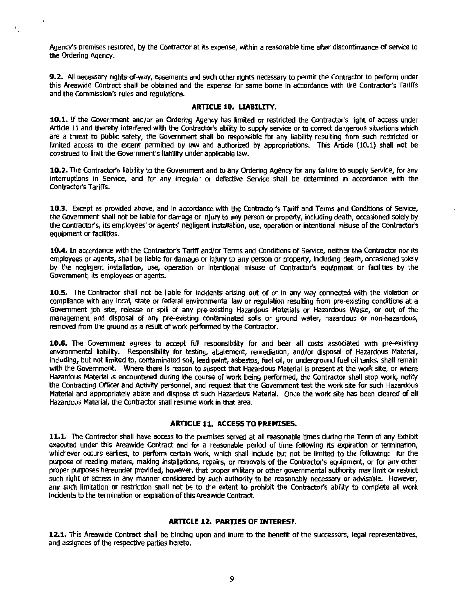Agency's premises restored, by the Contractor at its expense, within a reasonable time after discontinuance of service to the Ordering Agency.

 $\mathcal{V}_{\mathcal{A}}$ 

**9.2.** All necessary rights-of-way, easements and such other rights necessary to permit the Contractor to perform under this Areawide Contract shall be obtained and the expense for same borne in accordance with the Contractor's Tariffs and the Commission's rules and regulations.

#### **ARTlCLE 10. UABILITY.**

**10.1.** If the Government and/or an Ordering Agency has limited or restricted the Contractor's right of access under Article 11 and thereby interfered with the Contractor's ability to supply service or to correct dangerous situations which are a threat to public safety, the Government shall be responsible for any liability resulting from such restricted or limited access to the extent permitted by law and authorized by appropriations. This Article (10.1) shall not be construed to limit the Government's liability under applicable law.

**10.2.** The Contractor's liability to the Government and to any Ordering Agency for any failure to supply Service, for any interruptions in Service, and for any irregular or defective Service shall be determined in accordance with the Contractor's Tariffs.

**10.3.** Except as provided above, and in accordance with the Contractor's Tariff and Terms and Conditions of Service, the Government shall not be liable for damage or injury to any person or property, including death, occasioned solely by the Contractor's, its employees' or agents' negligent installation, use, operation or intentional misuse of the Contractor's equipment or facilities.

**10.4.** In accordance with the Contractors Tariff and/or Terms and Conditions of Service, neither the Contractor nor its employees or agents, shall be liable for damage or injury to any person or property, including death, occasioned solely by the negligent installation, use, operation or intentional misuse of Contractor's equipment or facilities by the Government, its employees or agents.

**10.5.** The Contractor shall not be liable for incidents arising out of or in any way connected with the violation or compliance with any local, state or federal environmental law or regulation resulting from pre-existing conditions at a Government job site, release or spill of any pre-existing Hazardous Materials or Hazardous Waste, or out of the management and disposal of any pre-existing contaminated soils or ground water, hazardous or non-hazardous, removed from the ground as a result of work performed by the Contractor.

**10.6.** The Government agrees to accept full responsibility for and bear all costs associated with pre-existing environmental liability. Responsibility for testing, abatement, remediation, and/or disposal of Hazardous Material, indudlng, but not limited to, contaminated soil, lead paint, asbestos, fuel oil, or underground fuel oil tanks, shall remain with the Government. Where there is reason to suspect that Hazardous Material is present at the work site, or where Hazardous Material is encountered during the course of work being performed, the Contractor shall stop work, notify the Contracting Officer and Activity personnel, and request that the Government test the work site for such Hazardous Material and appropriately abate and dispose of such Hazardous Material. Once the work site has been deared of all Hazardous Material, the Contractor shall resume work in that area.

#### **ARTICLE 11. ACCESS TO PREMISES.**

**11.1.** The Contractor shall have access to the premises served at all reasonable times during the Term of any Exhibit executed under this Areawide Contract and for a reasonable perfod of time following its expiration or termination, whichever occurs earliest, to perform certain work, which shall indude but not be limited to the following: for the purpose of reading meters, making installations, repairs, or removals of the Contractor's equipment, or for any other proper purposes hereunder provided, however, that proper military or other governmental authority may limit or restrict such right of access in any manner considered by such authority to be reasonably necessary or advisable. However, any such limitation or restriction shall not be to the extent to prohibit the Contractor's ability to complete all work incidents to the termination or expiration of this Areawide Contract.

#### **ARTlCLE 12. PARTlES OF INTEREST.**

**12.1.** This Areawide Contract shall be binding upon and Inure to the benefit of the successors, legal representatives, and assignees of the respective parties hereto.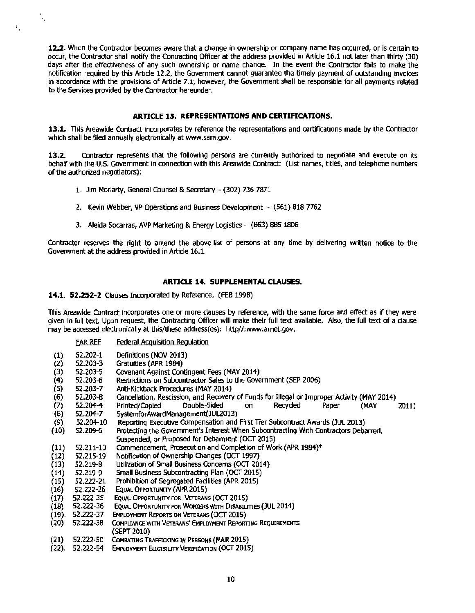12.2. When the Contractor becomes aware that a change in ownership or company name has occurred, or is certain to occur, the Contractor shall notify the Contracting Officer at the address provided in Article 16.1 not later than thirty (30) days after the effectiveness of any such ownership or name change. In the event the Contractor falls to make the notification required by this Article 12.2, the Government cannot quarantee the timely payment of outstanding invoices in accordance with the provisions of Article 7.1; however, the Government shall be responsible for all payments related to the Services provided by the Contractor hereunder.

#### ARTICLE 13. REPRESENTATIONS AND CERTIFICATIONS.

13.1. This Areawide Contract incorporates by reference the representations and certifications made by the Contractor which shall be filed annually electronically at www.sam.gov.

13.2. Contractor represents that the following persons are currently authorized to negotiate and execute on its behalf with the U.S. Government in connection with this Areawide Contract: (List names, titles, and telephone numbers of the authorized negotiators):

- 1. Jim Moriarty, General Counsel & Secretary -- (302) 736 7871
- 2. Kevin Webber, VP Operations and Business Development (561) 818 7762
- 3. Aleida Socarras, AVP Marketing & Energy Logistics (863) 885 1806

Contractor reserves the right to amend the above-list of persons at any time by delivering written notice to the Government at the address provided in Article 16.1.

#### ARTICLE 14. SUPPLEMENTAL CLAUSES.

14.1. 52.252-2 Clauses Incorporated by Reference. (FEB 1998}

This Areawide Contract incorporates one or more clauses by reference, with the same force and effect as if they were given in full text. Upon request, the Contracting Officer will make their full text available. Also, the full text of a dause may be accessed electronically at this/these address(es): http//:www.arnet.gov.

FAR REF Federal Acquisition Regulation

"

 $\mathfrak{e}_{\perp}$ 

| $\left(1\right)$ | 52.202-1  | Definitions (NOV 2013)                                                                      |
|------------------|-----------|---------------------------------------------------------------------------------------------|
| (2)              | 52.203-3  | Gratuities (APR 1984)                                                                       |
| (3)              | 52.203-5  | Covenant Against Contingent Fees (MAY 2014)                                                 |
| (4)              | 52.203-6  | Restrictions on Subcontractor Sales to the Government (SEP 2006)                            |
| (5)              | 52.203-7  | Anti-Kickback Procedures (MAY 2014)                                                         |
| (6)              | 52.203-8  | Cancellation, Rescission, and Recovery of Funds for Illegal or Improper Activity (MAY 2014) |
| (7)              | 52.204-4  | Recycled<br>Double-Sided<br>(MAY<br>Printed/Copied<br>Paper<br>2011)<br>on                  |
| (8)              | 52.204-7  | SystemforAwardManagement(JUL2013)                                                           |
| (9)              | 52.204-10 | Reporting Executive Compensation and First Tier Subcontract Awards (JUL 2013)               |
| (10)             | 52.209-6  | Protecting the Government's Interest When Subcontracting With Contractors Debarred,         |
|                  |           | Suspended, or Proposed for Debarment (OCT 2015)                                             |
| (11)             | 52.211-10 | Commencement, Prosecution and Completion of Work (APR 1984)*                                |
| (12)             | 52.215-19 | Notification of Ownership Changes (OCT 1997)                                                |
| (13)             | 52.219-8  | Utilization of Small Business Concerns (OCT 2014)                                           |
| (14)             | 52.219-9  | Small Business Subcontracting Plan (OCT 2015)                                               |
| (15)             | 52.222-21 | Prohibition of Segregated Facilities (APR 2015)                                             |
| (16)             | 52.222-26 | EQUAL OPPORTUNITY (APR 2015)                                                                |
| (17)             | 52.222-35 | EQUAL OPPORTUNITY FOR VETERANS (OCT 2015)                                                   |
| (18)             | 52.222-36 | EQUAL OPPORTUNITY FOR WORKERS WITH DISABILITIES (JUL 2014)                                  |
| (19).            | 52.222-37 | <b>EMPLOYMENT REPORTS ON VETERANS (OCT 2015)</b>                                            |
| (20)             | 52.222-38 | COMPLIANCE WITH VETERANS' EMPLOYMENT REPORTING REQUIREMENTS                                 |
|                  |           | (SEPT 2010)                                                                                 |
| (21)             | 52.222-50 | COMBATING TRAFFICKING IN PERSONS (MAR 2015)                                                 |
| (22).            | 52.222-54 | <b>EMPLOYMENT ELIGIBILITY VERIFICATION (OCT 2015)</b>                                       |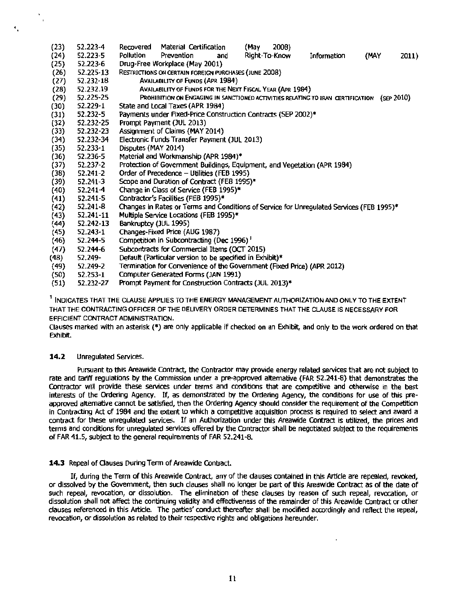- (23) 52.223-4 Recovered Material Certification (May 2008} (24) 52.223-5 Pollution Prevention and Right-To-Know Information (MAY 2011) (25) 52.223-6 Drug-Free Workplace (May 2001) (26) 52.225-13 RESTRICTIONS ON CERTAIN FOREIGN PURCHASES (JUNE 2008)<br>(27) 52.232-18 AVAILABILITY OF FUNDS (APR 1984) (27) 52.232-18 AVAILABILITY OF FUNDS (APR 1984) (28) 52.232.19 AVAILABILITY OF FUNDS FOR THE NEXT FISCAL YEAR (APR 1984)<br>(29) 52.225-25 PROHIBITION ON ENGAGING IN SANCTIONED ACTIVITIES RELATING (29) 52.225-25 PROHIBITION ON ENGAGING IN SANCTIONED ACTIVITIES RELATING TO IRAN CERTIFICATION (SEP 2010)<br>(30) 52.229-1 State and Local Taxes (APR 1984) (30) 52.229-1 State and Local Taxes (APR 1984)  $(31)$  52.232-5 Payments under Fixed-Price Construction Contracts (SEP 2002)\*  $(32)$  52.232-25 Prompt Payment (JUL 2013) (32) 52.232-25 Prompt Payment (JUL 2013) (33) 52 .232-23 Assignment of Claims (MAY 2014) (34) 52.232-34 Electronic Funds Transfer Payment (JUL 2013) 52.233-1 Disputes (MAY 2014)<br>52.236-5 Material and Workma (36) 52.236-5 Material and Workmanship (APR 1984)\*  $(37)$  52.237-2 Protection of Government Buildings, Equipment, and Vegetation (APR 1984)<br>(38) 52.241-2 Order of Precedence – Utilities (FEB 1995)  $(38)$  52.241-2 Order of Precedence – Utilities (FEB 1995)<br> $(39)$  52.241-3 Scope and Duration of Contract (FEB 1995)  $(39)$  52.241-3 Scope and Duration of Contract (FEB 1995)\*<br>(40) 52.241-4 Change in Class of Service (FEB 1995)\*  $(40)$  52.241-4 Change in Class of Service (FEB 1995)\*  $(41)$  52.241-5 Contractor's Facilities (FEB 1995)\* (41) 52.241-5 Contractor's Facilities (FEB 1995)\*  $(42)$  52.241-8 Changes in Rates or Terms and Conditions of Service for Unregulated Services (FEB 1995)\* (43) 52.241-11 Multiple Service Locations (FEB 1995)\* (43) 52.241-11 Multiple Service Locations (FEB 1995)\* Bankruptcy (JUL 1995) (45) (46) 52.243-1 52.244-5 Changes-Fixed Price (AUG 1987) Competition in Subcontracting (Dec 1996)<sup>1</sup> (47) 52.244-6 Subcontracts for Commercial Items (OCT 2015) (48) 52.249- Default (Particular version to be specified in Exhibit)\*<br>(49) 52.249-2 Termination for Convenience of the Government (Fixe
- (49) 52.249-2 Termination for Convenience ofthe Government (Fixed Price) (APR 2012)
- (50) 52.253-1 Computer Generated Forms (JAN 1991)
- Prompt Payment for Construction Contracts (JUL 2013)\*

<sup>1</sup> INDICATES THAT THE CLAUSE APPLIES TO THE ENERGY MANAGEMENT AUTHORIZATION AND ONLY TO THE EXTENT THAT THE CONTRACTING OFFICER OF THE DELIVERY ORDER DETERMINES THAT THE CLAUSE IS NECESSARY FOR EFFICIENT CONTRACT ADMINISTRATION.

Clauses marked with an asterisk(\*) are only applicable if checked on an Exhibit, and only to the work ordered on that Exhibit.

#### **14.2** Unregulated Services.

..

Pursuant to this Areawide Contract, the Contractor may provide energy related services that are not subject to rate and tariff regulations by the Commission under a pre-approved alternative (FAR 52.241-8) that demonstrates the Contractor will provide these services under terms and conditions that are competitive and otherwise in the best Interests of the Ordering Agency. If, as demonstrated by the Ordering Agency, the conditions for use of this preapproved alternative cannot be satisfied, then the Ordering Agency should consider the requirement of the Competition In Contracting Act of 1984 and the extent to which a competitive acquisition process is required to select and award a contract for these unregulated services. If an Authorization under this Areawide Contract is utilized, the prices and terms and conditions for unregulated services offered by the Contractor shall be negotiated subject to the requirements of FAR 41.5, subject to the general requirements of FAR 52.241-B.

#### **14.3** Repeal of Clauses During Term of Areawide Contract.

If, during the Term of this Areawide Contract, any of the dauses contained In this Article are repealed, revoked, or dissolved by the Government, then such clauses shall no longer be part of this Areawide Contract as of the date of such repeal, revocation, or dissolution. The elimination of these clauses by reason of such repeal, revocation, or dissolution shall not affect the continuing validity and effectiveness of the remainder of this Areawide Contract or other dauses referenced in this Article. The parties' conduct thereafter shall be modified accordingly and reflect the repeal, revocation, or dissolution as related to their respective rights and obligations hereunder.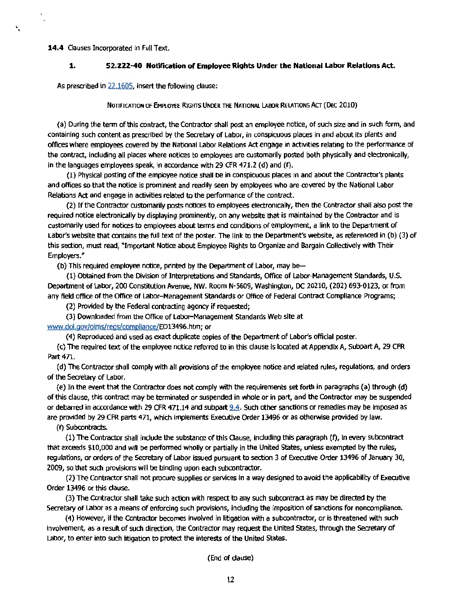#### 14.4 Clauses Incorporated in Full Text.

۰.

#### **1. 52.222-40 Notification of Employee Rights Under the National Labor Relations Act.**

As prescribed in 22.1605, insert the following clause:

NOTIFICATION OF EMPLOYEE RIGHTS UNDER THE NATIONAL LABOR RELATIONS ACT (DEC 2010)

(a) During the term of this contract, the Contractor shall post an employee notice, of such size and in such form, and containing such content as prescribed by the Secretary of Labor, in conspicuous places in and about its plants and offices where employees covered by the National Labor Relations Act engage In activities relating to the performance of the contract, including all places where notices to employees are customarily posted both physically and electronically, in the languages employees speak, in accordance with 29 CFR 471.2 (d) and (f).

(1) Physical posting of the employee notice shall be in conspicuous places in and about the Contractor's plants and offices so that the notice is prominent and readily seen by employees who are covered by the National Labor Relations Act and engage in activities related to the performance of the contract.

(2) If the Contractor customarily posts notices to employees electronically, then the Contractor shall also post the required notice electronically by displaying prominently, on any website that is maintained by the Contractor and is customarily used for notices to employees about terms and conditions of employment, a link to the Department of Labor's website that contains the full text of the poster. The link to the Department's website, as referenced in (b) (3) of this section, must read, "Important Notice about Employee Rights to Organize and Bargain CoHectively with Their Employers."

(b) This required employee notice, printed by the Department of Labor, may be

(1) Obtained from the Division ofInterpretations and Standards, Office of Labor-Management Standards, U.S. Department of Labor, 200 Constitution Avenue, NW. Room N-5609, Washington, DC 20210, (202) 693-0123, or from any field office of the Office of Labor- Management Standards or Office of Federal Contract Compliance Programs;

(2) Provided by the Federal contracting agency if requested;

(3) Downloaded from the Office of labor- Management Standards Web site at

www.dol.gov/olms/regs/compllance/EOl3496.htm; or

(4) Reproduced and used as exact duplicate copies of the Department of Labor's official poster.

(c) The required text of the employee notice referred to in this clause is located at Appendix A, Subpart A, 29 CFR Part 471.

(d) The Contractor shall comply with all provisions of the employee notice and related rules, regulations, and orders of the Secretary of Labor.

(e) In the event that the Contractor does not comply with the requirements set forth in paragraphs (a) through (d) of this clause, this contract may be terminated or suspended in whole or in part, and the Contractor may be suspended or debarred in accordance with 29 CFR 471.14 and subpart 9.4. Such other sanctions or remedies may be imposed as are provided by 29 CFR parts 471, which implements Executive Order 13496 or as otherwise provided by law.

(f) Subcontracts.

(1) The Contractor shall indude the substance of this Qause, induding this paragraph (f), in every subcontract that exceeds \$10,000 and will be performed wholly or partially in the United States, unless exempted by the rules, regulations, or orders of the Secretary of Labor Issued pursuant to section 3 of Executive Order 13496 of January 30, 2009, so that such provisions will be binding upon each subcontractor.

(2) The Contractor shall not procure supplies or services in a way designed to avoid the applicability of Executive Order 13496 or this dause.

(3) The Contractor shall take such action with respect to any such subcontract as may be directed by the Secretary of Labor as a means of enforcing such provisions, including the imposition of sanctions for noncompliance.

(4) However, if the Contractor becomes involved in litigation with a subcontractor, or is threatened with such involvement, as a result of such direction, the Contractor may request the United States, through the Secretary of Labor, to enter into such litigation to protect the interests of the United States.

(End of dause)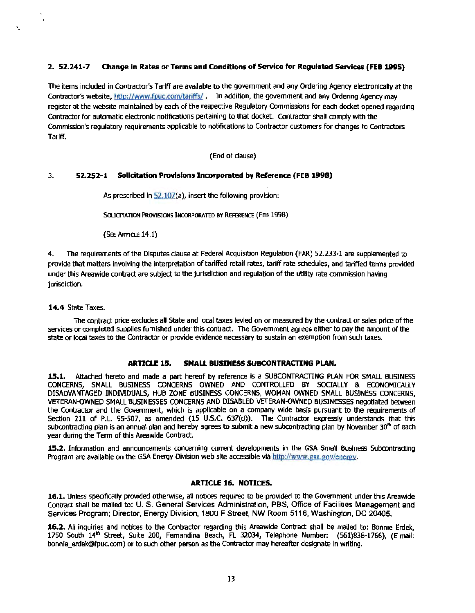#### 2. 52.241-7 Change in Rates or Terms and Conditions of Service for Regulated Services (FEB 1995)

The items included in Contractor's Tariff are available to the government and any Ordering Agency electronically at the Contractor's website, http://www.fpuc.com/tariffs/ . In addition, the government and any Ordering Agency may register at the website maintained by each *cl* the respective Regulatory Commissions for each docket opened regarding Contractor for automatic electronic notifications pertaining to that docket. Contractor shall comply with the Commission's regulatory requirements applicable to notifications to Contractor customers for changes to Contractors Tariff.

(End of dause)

#### 3. 52.252-1 Solicitation Provisions Incorporated by Reference (FEB 1998)

As prescribed in  $52.107(a)$ , insert the following provision:

SOUCITATION PROVISIONS INCORPORATED BY REFERENCE (FEB 1998)

(See ARTICLE 14.1)

4. The requirements of the Disputes clause at Federal Acquisition Regulation (FAR) 52.233-1 are supplemented to provide that matters involving the interpretation of tariffed retail rates, tariff rate schedules, and tariffed tenns provided under this Areawide contract are subject to the jurisdiction and regulation of the utility rate commission having jurisdiction.

#### 14.4 State Taxes.

..

٧.

The contract price excludes all State and local taxes levied on or measured by the contract or sales price of the services or completed supplies furnished under this contract. The Government agrees either to pay the amount of the state or local taxes to the Contractor or provide evidence necessary to sustain an exemption from such taxes.

#### ARTICLE 15. SMALL BUSINESS SUBCONTRACTING PLAN.

15.1. Attached hereto and made a part hereof by reference is a SUBCONTRACTING PLAN FOR SMALL BUSINESS CONCERNS OWNED AND CONTROLLED BY SOCIALLY & ECONOMICALLY SMALL BUSINESS CONCERNS OWNED AND CONTROLLED BY SOCIALLY & ECONOMICALLY DISADVANTAGED INDMDUALS, HUB ZONE BUSINESS CONCERNS, WOMAN OWNED SMALL BUSINESS CONCERNS, VETERAN-OWNED SMALL BUSINESSES CONCERNS AND DISABLED VETERAN-OWNED BUSINESSES negotiated between the Contractor and the Government, which is applicable on a company wide basis pursuant to the requirements of Section 211 of P.L. 95-507, as amended (15 U.S.C. 637(d)). The Contractor expressly understands that this subcontracting plan is an annual plan and hereby agrees to submit a new subcontracting plan by November 30<sup>th</sup> of each year during the Term of this Areawide Contract.

15.2. Information and announcements concerning current developments in the GSA Small Business Subcontracting Program are available on the GSA Energy Division web site accessible via http://www.gsa.gov/energy.

#### ARTICLE 16. NOTICES.

16.1. Unless specifically provided otherwise, all notices required to be provided to the Government under this Areawide Contract shall be mailed to: U. S. General Services Administration, PBS, Office of Facilities Management and Services Program; Director, Energy Division, 1800 F Street, NW Room 5116, Washington, DC 20405.

16.2. All inquiries and notices to the Contractor regarding this Areawide Contract shall be mailed to: Bonnie Erdek, 1750 South 14th Street, Suite 200, Fernandina Beach, FL 32034, Telephone Number: (561)838-1766), (E-mail: bonnie\_erdek@fpuc.com) or to such other person as the Contractor may hereafter designate in writing.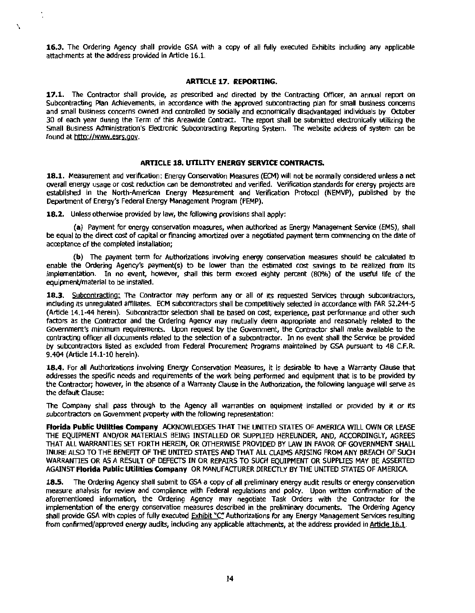16.3. The Ordering Agency shall provide GSA with a copy of all fully executed Exhibits including any applicable attachments at the address provided in Article 16.1.

#### ARTICLE 17. REPORTING.

17.1. The Contractor shall provide, as prescribed and directed by the Contracting Officer, an annual report on Subcontracting Plan Achievements, in accordance with the approved subcontracting plan for small business concerns and small business concerns owned and controlled by socially and economically disadvantaged individuals by October 30 of each year during the Term of this Areawide Contract. The report shall be submitted electronically utilizing the Small Business Administration's Electronic Subcontracting Reporting System. The website address of system can be found at http://www,esrs.goy.

#### ARTICLE 18. UTILITY ENERGY SERVICE CONTRACTS.

18.1. Measurement and verification: Energy Conservation Measures (ECM) will not be normally considered unless a net overall energy usage or cost reduction can be demonstrated and verified. Verification standards for energy projects are established in the North-American Energy Measurement and Verification Protocol (NEMVP), published by the Department of Energy's Federal Energy Management Program (FEMP).

18.2. Unless otherwise provided by law, the following provisions shall apply:

..

\ .

(a) Payment for energy conservation measures, when authorized as Energy Management Service (EMS), shall be equal to the direct cost of capital or financing amortized over a negotiated payment term commencing on the date of acceptance of the completed installation;

(b} The payment tenn for Authorizations involving energy conservation measures should be calculated to enable the Ordering Agency's payment(s) to be lower than the estimated cost savings to be realized from its implementation. In no event, however, shall this term exceed eighty percent (80%) of the useful life of the equipment/material to be installed.

18.3. Subcontracting: The Contractor may perform any or all of its requested Services through subcontractors, including its unregulated affiliates. ECM subcontractors shall be competitively selected in accordance with FAR 52.244-5 (Article 14.1-44 herein}. Subcontractor selection shall be based on cost, experience, past performance and other such factors as the Contractor and the Ordering Agency may mutually deem appropriate and reasonably related to the Government's minimum requirements. Upon request by the Government, the Contractor shall make available to the contracting officer all documents related to the selection of a subcontractor. In no event shall the Service be provided by subcontractors listed as excluded from Federal Procurement Programs maintained by GSA pursuant to 48 C.F.R. 9.404 (Article 14.1-10 herein).

18.4. For all Authorizations involving Energy Conservation Measures, it is desirable to have a Warranty Clause that addresses the specific needs and requirements of the work being performed and equipment that is to be provided by the Contractor; however, in the absence of a Warranty Clause In the Authorization, the following language will serve as the default Clause:

The Company shall pass through to the Agency all warranties on equipment installed or provided by it or Its subcontractors on Government property with the following representation:

Fforida Public Utilities Company ACKNOWLEDGES THAT THE UNITED STATES OF AMERICA WILL OWN OR LEASE THE EQUIPMENT AND/OR MATERIALS BEING INSTALLED OR SUPPLIED HEREUNDER, AND, ACCORDINGLY, AGREES THAT All WARRANTIES SET FORTH HEREIN, OR OTHERWISE PROVIDED BY LAW IN FAVOR OF GOVERNMENT SHALL INURE ALSO TO THE BENEFIT OF THE UNITED STATES AND THAT All CLAIMS ARISING FROM ANY BREAOI OF SUGI WARRANTIES OR AS A RESULT OF DEFECTS IN OR REPAIRS TO SUCH EQUIPMENT OR SUPPLIES MAY BE ASSERTED AGAINST Florida Public Utilities Company OR MANUFACTURER DIRECTLY BY THE UNITED STATES OF AMERICA.

The Ordering Agency shall submit to GSA a copy of all preliminary energy audit results or energy conservation measure analysis for review and compliance with Federal regulations and pollcy. Upon written confirmation of the aforementioned information, the Ordering Agency may negotiate Task Orders with the Contractor for the implementation of the energy conservation measures described in the preliminary documents. The Ordering Agency shall provide GSA with copies of fully executed Exhibit "C" Authorizations for any Energy Management Services resulting from confirmed/approved energy audits, including any applicable attachments, at the address provided in Article 16.1.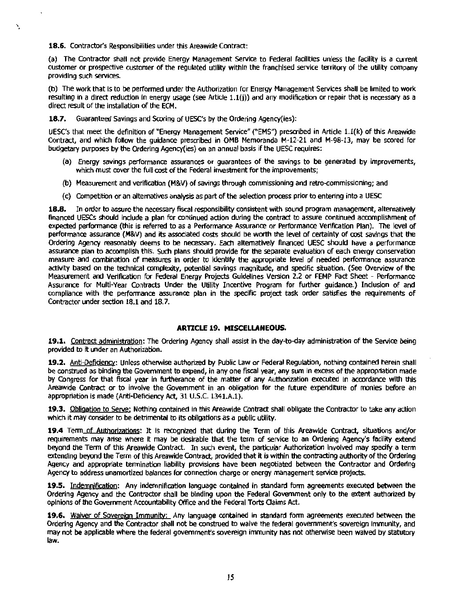18.6. Contractor's Responsibilities under this Areawide Contract:

'.

(a) The Contractor shall not provide Energy Management Service to Federal facilities unless the facility is a current customer or prospective customer of the regulated utility within the franchised service territory of the utility company providing such services.

(b) The work that ls to be performed under the Authorization for Energy Management Services shall be limited to work resulting in a direct reduction in energy usage (see Article 1.l(j)) and any modification or repair that is necessary as a direct result of the installation of the ECM.

**18.7.** Guaranteed Savings and Scoring of UESC's by the Ordering Agency(ies):

UESC's that meet the definition of "Energy Management Service" ("EMS") prescribed in Article 1.l(k) of this Areawide Contract, and which follow the guidance prescribed in OMB Memoranda M-12-21 and M-98-13, may be scored for budgetary purposes by the Ordering Agency(ies) on an annual basis if the UESC requires:

- (a) Energy savings performance assurances or guarantees of the savings to be generated by improvements, which must cover the full cost of the Federal investment for the improvements;
- (b) Measurement and verification (M&V) of savings through commissioning and retro-commissioning; and
- (c) Competition or an alternatives analysis as part of the selection process prior to entering into a UESC

**18.8.** In order to assure the necessary fiscal responsibility consistent with sound program management, alternatively financed UESCs should include a plan for continued action during the contract to assure continued accomplishment of expected performance (this is referred to as a Performance Assurance or Performance Verification Plan). The level of performance assurance (M&V) and its associated costs should be worth the level of certainty of cost savings that the Ordering Agency reasonably deems to be necessary. Each alternatively financed UESC should have a performance assurance plan to accomplish this. Such plans should provide for the separate evaluation of each energy conservation measure and combination of measures in order to identify the appropriate level of needed perfonnance assurance activity based on the technical complexity, potential savings magnitude, and specific situation. (See Overview of the Measurement and Verification for Federal Energy Projects Guidelines Version 2.2 or FEMP Fact Sheet - Performance Assurance for Multi-Year Contracts Under the Utility Incentive Program for further guidance.) Inclusion of and compliance with the performance assurance plan in the specific project task order satisfies the requirements of Contractor under section 18.1 and 18.7.

#### **ARTICLE 19. MISCELLANEOUS.**

**19.1.** Contract administration: The Ordering Agency shall assist in the day-to-day administration of the Service being provided to it under an Authorization.

**19.2.** Anti-Deficiency: Unless otherwise authorized by Public Law or Federal Regulation, nothing contained herein shall be construed as binding the Government to expend, in any one fiscal year, any sum In excess of the appropriation made by Congress for that fiscal year in furtherance of the matter of any Authorization executed in accordance with this Areawide Contract or to involve the Government in an obligation for the future expenditure of monies before an appropriation is made (Anti-Deficiency Act, 31 U.S.C. 1341.A.1).

**19.3.** Obtigatjoo to Serve; Nothing contained in this Areawide Contract shall obligate the Contractor to take any action which it may consider to be detrimental to its obligations as a public utility.

19.4 Term of Authorizations: It is recognized that during the Term of this Areawide Contract, situations and/or requirements may arise where it may be desirable that the term of service to an Ordering Agency's facility extend beyond the Term of this Areawide contract. In such event, the particular Authorization Involved may specify a term extending beyond the Term of this Areawide contract, provided that It is within the contracting authority of the Ordering Agency and appropriate termination liability provisions have been negotiated between the Contractor and Ordering Agency to address unamortized balances for connection charge or energy management service projects.

**19.S.** Indemnification: Any indemnification language contained in standard fonn agreements executed between the Ordering Agency and the Contractor shall be binding upon the Federal Government only to the extent authorized by opinions of the Government Accountability Office and the Federal Torts Oaims Act.

**19.6.** Waiver of Sovereign Immunity: Any language contained in standard form agreements executed between the Ordering Agency and the Contractor shall not be construed to waive the federal government's sovereign immunity, and may not be applicable where the federal government's sovereign immunity has not otherwise been waived by statutory law.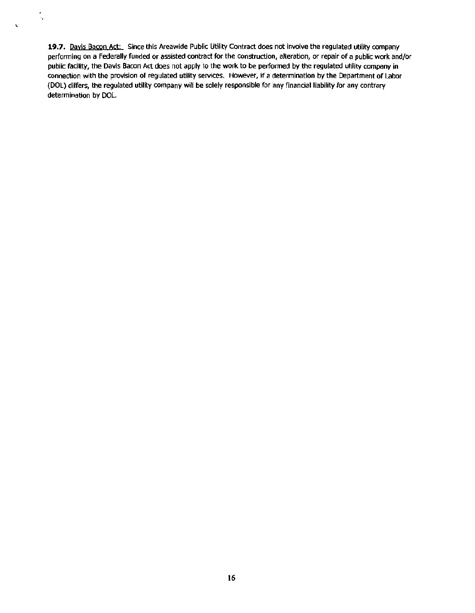**19.7.** Davis Bacon Act: Since this Areawide Public Utility Contract does not involve the regulated utility company performing on a Federally funded or assisted contract for the construction, alteration, or repair of a public work and/or public facility, the Davis Bacon Act does not apply to the work to be performed by the regulated utility company in connection with the provision of regulated utility services. However, If a determination by the Department of Labor (DOL) differs, the regulated utlllty company will be solely responsible for any financial liability for any contrary determination by DOL.

.,

 $\overline{\phantom{0}}$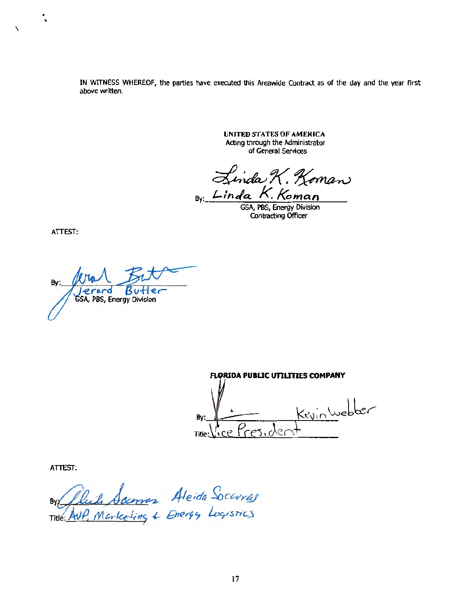IN WITNESS WHEREOF, the parties have executed this Areawide Contract as of the day and the year first above written.

> **UNITED STATES OF AMERICA** Acting through the Administrator of General Services

inda K. Koman By: Linda K. Koman

GSA, PBS, Energy Division Contracting Officer

ATTEST:

 $\ddot{\phantom{0}}$ 

 $\lambda$ 

Bv: Jerard Butle<br>GSA, PBS, Energy Division Butler

**FLORIDA PUBLIC UTILITIES COMPANY** KevinWebber Bv: ce Presider Title:

ATTEST:

By fluid Soumer Aleida Socavras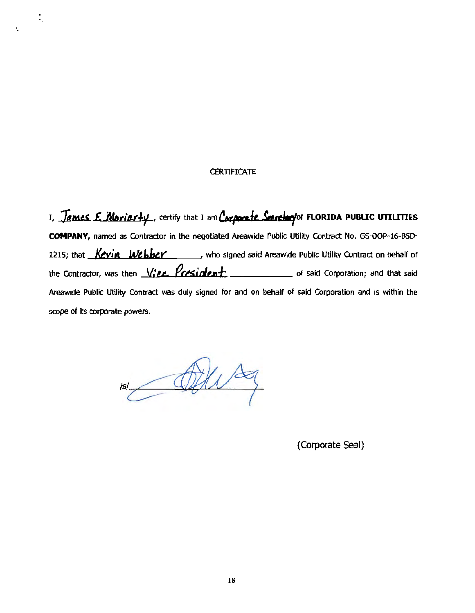#### **CERTIFICATE**

Ϊ.

I, James F. Moriarty, certify that I am Corporate Seerchry' of FLORIDA PUBLIC UTILITIES COMPANY, named as Contractor in the negotiated Areawide Public Utility Contract No. GS-OOP-16-BSD-1215; that Kevin Webber who signed said Areawide Public Utility Contract on behalf of Areawide Public Utility Contract was duly signed for and on behalf of said Corporation and is within the scope of its corporate powers.

 $z$ 

(Corporate Seal)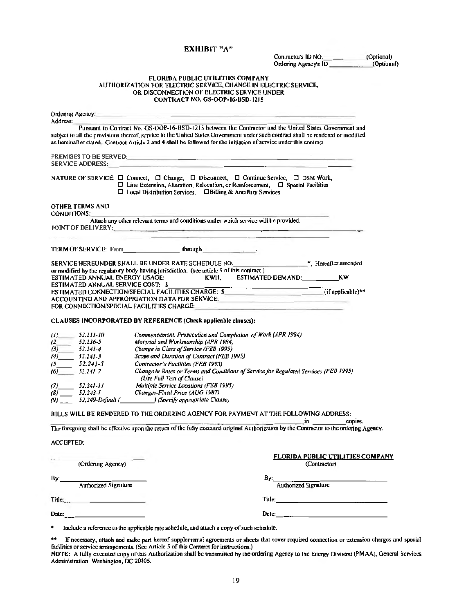#### EXHIBIT "A"

|                                        |                         |                                                                                                                                                                                                                                                                                                                        | Ordering Agency's ID (Optional)                                                                                                                                                                                                                                                       | Contractor's ID NO. (Optional) |
|----------------------------------------|-------------------------|------------------------------------------------------------------------------------------------------------------------------------------------------------------------------------------------------------------------------------------------------------------------------------------------------------------------|---------------------------------------------------------------------------------------------------------------------------------------------------------------------------------------------------------------------------------------------------------------------------------------|--------------------------------|
|                                        |                         | FLORIDA PUBLIC UTILITIES COMPANY<br>AUTHORIZATION FOR ELECTRIC SERVICE, CHANGE IN ELECTRIC SERVICE,<br>OR DISCONNECTION OF ELECTRIC SERVICE UNDER<br>CONTRACT NO. GS-OOP-16-BSD-1215                                                                                                                                   |                                                                                                                                                                                                                                                                                       |                                |
| Address:                               |                         | Ordering Agency. The contract of the contract of the contract of the contract of the contract of the contract of the contract of the contract of the contract of the contract of the contract of the contract of the contract                                                                                          |                                                                                                                                                                                                                                                                                       |                                |
|                                        |                         | as hereinafter stated. Contract Article 2 and 4 shall be followed for the initiation of service under this contract.                                                                                                                                                                                                   | Pursuant to Contract No. GS-OOP-16-BSD-1215 between the Contractor and the United States Government and<br>subject to all the provisions thereof, service to the United States Government under such contract shall be rendered or modified                                           |                                |
|                                        | <b>SERVICE ADDRESS:</b> | PREMISES TO BE SERVED: The contract of the contract of the contract of the contract of the contract of the contract of the contract of the contract of the contract of the contract of the contract of the contract of the con                                                                                         |                                                                                                                                                                                                                                                                                       |                                |
|                                        |                         | NATURE OF SERVICE: $\Box$ Connect, $\Box$ Change, $\Box$ Disconnect, $\Box$ Continue Service, $\Box$ DSM Work,<br>$\Box$ Line Extension, Alteration, Relocation, or Reinforcement, $\Box$ Special Facilities<br>□ Local Distribution Services, □ Billing & Ancillary Services                                          |                                                                                                                                                                                                                                                                                       |                                |
| CONDITIONS:                            | OTHER TERMS AND         |                                                                                                                                                                                                                                                                                                                        |                                                                                                                                                                                                                                                                                       |                                |
|                                        |                         | Attach any other relevant terms and conditions under which service will be provided.<br>POINT OF DELIVERY: And the contract of the contract of the contract of the contract of the contract of the contract of the contract of the contract of the contract of the contract of the contract of the contract of the con |                                                                                                                                                                                                                                                                                       |                                |
|                                        |                         | TERM OF SERVICE: From through through the contract of the contract of the contract of the contract of the contract of the contract of the contract of the contract of the contract of the contract of the contract of the cont                                                                                         | and the company's company's state of the company's state of the company's state of the company's state of the                                                                                                                                                                         |                                |
|                                        |                         | or modified by the regulatory body having jurisdiction. (see article 5 of this contract.)                                                                                                                                                                                                                              | SERVICE HEREUNDER SHALL BE UNDER RATE SCHEDULE NO. _______________________________*, Hereafter amended<br>ESTIMATED ANNUAL ENERGY USAGE: ______________KWH, ESTIMATED DEMAND: ______________KW                                                                                        |                                |
|                                        |                         | ACCOUNTING AND APPROPRIATION DATA FOR SERVICE: ACCOUNTING AND APPROPRIATION DATA FOR SERVICE:<br>FOR CONNECTION/SPECIAL FACILITIES CHARGE:                                                                                                                                                                             | ESTIMATED ANNUAL SERVICE COST: SUNNIANTED CONNECTION/SPECIAL FACILITIES CHARGE: SUNNIANTED CONNECTION/SPECIAL FACILITIES CHARGE: SUNNIANTED CONNECTION/SPECIAL FACILITIES CHARGE: SUNNIANTED CONNECTION/SPECIAL FACILITIES CHA                                                        |                                |
|                                        |                         | CLAUSES INCORPORATED BY REFERENCE (Check applicable clauses):                                                                                                                                                                                                                                                          |                                                                                                                                                                                                                                                                                       |                                |
| $(l)$ 52.211-10                        |                         | Commencement, Prosecution and Completion of Work (APR 1984)                                                                                                                                                                                                                                                            |                                                                                                                                                                                                                                                                                       |                                |
| $(2 - 52.236 - 5)$                     |                         | Moterial and Workmanship (APR 1984)                                                                                                                                                                                                                                                                                    |                                                                                                                                                                                                                                                                                       |                                |
| $(3)$ 52.241-4                         |                         | Change in Class of Service (FEB 1995)<br>Scope and Duration of Contract (FEB 1995)                                                                                                                                                                                                                                     |                                                                                                                                                                                                                                                                                       |                                |
| $(4)$ 52.241-3                         |                         |                                                                                                                                                                                                                                                                                                                        |                                                                                                                                                                                                                                                                                       |                                |
| $(5 - 52.241 - 5)$<br>$(6)$ $52.241-7$ |                         | Contractor's Facilities (FEB 1995)<br>(Use Full Text of Clause)                                                                                                                                                                                                                                                        | Change in Rates or Terms and Conditions of Service for Regulated Services (FEB 1995)                                                                                                                                                                                                  |                                |
|                                        | $(7)$ 52.241-11         | Multiple Service Locations (FEB 1995)                                                                                                                                                                                                                                                                                  |                                                                                                                                                                                                                                                                                       |                                |
| $(8)$ 52.243-1                         |                         | Changes-Fixed Price (AUG 1987)                                                                                                                                                                                                                                                                                         |                                                                                                                                                                                                                                                                                       |                                |
|                                        |                         | (9) $\frac{1}{2}$ 52.249-Default ( $\frac{1}{2}$ (Specify appropriate Clause)                                                                                                                                                                                                                                          |                                                                                                                                                                                                                                                                                       |                                |
|                                        |                         |                                                                                                                                                                                                                                                                                                                        | BILLS WILL BE RENDERED TO THE ORDERING AGENCY FOR PAYMENT AT THE FOLLOWING ADDRESS:<br>copies.<br>$\mathbf{in}$ . The set of $\mathbf{in}$<br>The foregoing shall be effective upon the return of the fully executed original Authorization by the Contractor to the ordering Agency. |                                |
|                                        |                         |                                                                                                                                                                                                                                                                                                                        |                                                                                                                                                                                                                                                                                       |                                |
| <b>ACCEPTED:</b>                       |                         |                                                                                                                                                                                                                                                                                                                        | <b>FLORIDA PUBLIC UTILITIES COMPANY</b>                                                                                                                                                                                                                                               |                                |
|                                        | (Ordering Agency)       |                                                                                                                                                                                                                                                                                                                        | (Contractor)                                                                                                                                                                                                                                                                          |                                |
| By:_                                   | Authorized Signature    |                                                                                                                                                                                                                                                                                                                        | $By \_\_$<br>Authorized Signature                                                                                                                                                                                                                                                     |                                |
|                                        | $\text{Title:}$         |                                                                                                                                                                                                                                                                                                                        |                                                                                                                                                                                                                                                                                       |                                |
|                                        |                         | Date: and the contract of the contract of the contract of the contract of the contract of the contract of the contract of the contract of the contract of the contract of the contract of the contract of the contract of the                                                                                          | Date:                                                                                                                                                                                                                                                                                 |                                |

 $\star\star$ d special The necessary, attach and hake part nereor supplementar agreements or site to make required contraction or extension entities and special facilities or service arrangements. (See Article 5 of this Contract for instructions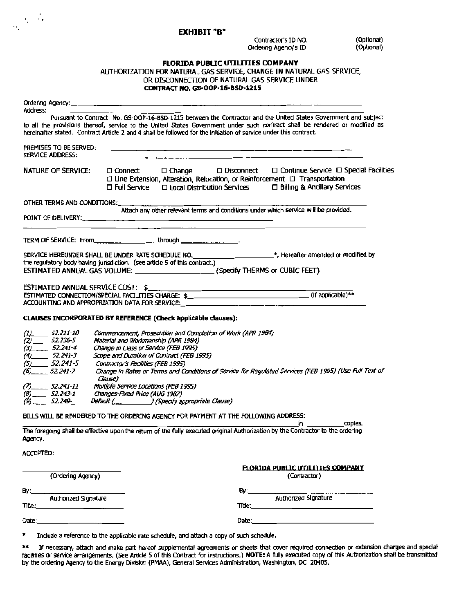#### EXHIBIT "B"

 $\sqrt{N/\Lambda}$ 

Contractor's ID NO. (Optional)<br>rdenno Agency's ID (Optional) Ordering Agency's ID

### FLORIDA PUBUC UTILITIES COMPANY

AUTHORIZATION FOR NATURAL GAS SERVICE, CHANGE IN NATURAL GAS SERVICE, OR DISCONNECTION OF NATURAL GAS SERVICE UNDER CONTRACT NO. GS-OOP-16-850-1215

| Address:  |                                                                                                                   |                                                                              |                                                              |  |                                                   |                                                                                                                                                                                                                                                |  |
|-----------|-------------------------------------------------------------------------------------------------------------------|------------------------------------------------------------------------------|--------------------------------------------------------------|--|---------------------------------------------------|------------------------------------------------------------------------------------------------------------------------------------------------------------------------------------------------------------------------------------------------|--|
|           | hereinafter stated. Contract Article 2 and 4 shall be followed for the initiation of service under this contract. |                                                                              |                                                              |  |                                                   | Pursuant to Contract No. GS-OOP-16-BSD-1215 between the Contractor and the United States Government and subject<br>to all the provisions thereof, service to the United States Government under such contract shall be rendered or modified as |  |
|           | PREMISES TO BE SERVED:<br><b>SERVICE ADDRESS:</b>                                                                 |                                                                              |                                                              |  |                                                   |                                                                                                                                                                                                                                                |  |
|           | NATURE OF SERVICE:                                                                                                | $\Box$ Connect                                                               | $\square$ Full Service $\square$ Local Distribution Services |  |                                                   | $\square$ Change $\square$ Disconnect $\square$ Continue Service $\square$ Special Facilities<br>$\Box$ Line Extension, Alteration, Relocation, or Reinforcement $\Box$ Transportation<br>□ Billing & Ancillary Services                       |  |
|           | OTHER TERMS AND CONDITIONS:                                                                                       |                                                                              |                                                              |  |                                                   |                                                                                                                                                                                                                                                |  |
|           | POINT OF DELIVERY:                                                                                                |                                                                              |                                                              |  |                                                   | Attach any other relevant terms and conditions under which service will be provided.<br><u> 1989 - Johann Stoff, amerikan bestemannsnafn og det forskellige og den større og stoffens og den som som som </u>                                  |  |
|           | TERM OF SERVICE: From ________________________through __________________.                                         |                                                                              |                                                              |  |                                                   |                                                                                                                                                                                                                                                |  |
|           |                                                                                                                   |                                                                              |                                                              |  |                                                   | SERVICE HEREUNDER SHALL BE UNDER RATE SCHEDULE NO. _______________________*, Hereafter amended or modified by                                                                                                                                  |  |
|           | the regulatory body having jurisdiction. (see article 5 of this contract.)                                        |                                                                              |                                                              |  |                                                   | ESTIMATED ANNUAL GAS VOLUME: ________________________(Specify THERMS or CUBIC FEET)                                                                                                                                                            |  |
|           | ESTIMATED ANNUAL SERVICE COST: \$                                                                                 |                                                                              |                                                              |  | <u> 1980 - Johann Barnett, fransk politiker (</u> |                                                                                                                                                                                                                                                |  |
|           | ACCOUNTING AND APPROPRIATION DATA FOR SERVICE:                                                                    |                                                                              |                                                              |  |                                                   |                                                                                                                                                                                                                                                |  |
|           | CLAUSES INCORPORATED BY REFERENCE (Check applicable clauses):                                                     |                                                                              |                                                              |  |                                                   |                                                                                                                                                                                                                                                |  |
|           | $(1)$ 52.211-10                                                                                                   | Commencement, Prosecution and Completion of Work (APR 1984)                  |                                                              |  |                                                   |                                                                                                                                                                                                                                                |  |
|           | $(2)$ 52.236-5<br>$(3)$ 52.241-4                                                                                  | Material and Workmanship (APR 1984)<br>Change in Class of Service (FEB 1995) |                                                              |  |                                                   |                                                                                                                                                                                                                                                |  |
|           | $(4)$ 52.241-3                                                                                                    | Scope and Duration of Contract (FEB 1995)                                    |                                                              |  |                                                   |                                                                                                                                                                                                                                                |  |
|           | $(5)$ 52.241-5                                                                                                    | Contractor's Facilities (FEB 1995)                                           |                                                              |  |                                                   | Change in Rates or Terms and Conditions of Service for Regulated Services (FEB 1995) (Use Full Text of                                                                                                                                         |  |
|           |                                                                                                                   | Clause)                                                                      |                                                              |  |                                                   |                                                                                                                                                                                                                                                |  |
|           | $(7)$ 52.241-11<br>$(8)$ 52.243-1                                                                                 | Multiple Service Locations (FEB 1995)<br>Changes-Fixed Price (AUG 1987)      |                                                              |  |                                                   |                                                                                                                                                                                                                                                |  |
|           | $(9)$ 52.249-                                                                                                     | Default (___________________) (Specify appropriate Clause)                   |                                                              |  |                                                   |                                                                                                                                                                                                                                                |  |
|           | BILLS WILL BE RENDERED TO THE ORDERING AGENCY FOR PAYMENT AT THE FOLLOWING ADDRESS:                               |                                                                              |                                                              |  |                                                   | copies.                                                                                                                                                                                                                                        |  |
| Agency.   |                                                                                                                   |                                                                              |                                                              |  |                                                   | The foregoing shall be effective upon the return of the fully executed original Authorization by the Contractor to the ordering                                                                                                                |  |
| ACCEPTED: |                                                                                                                   |                                                                              |                                                              |  |                                                   |                                                                                                                                                                                                                                                |  |
|           |                                                                                                                   |                                                                              |                                                              |  |                                                   | <b>FLORIDA PUBLIC UTILITIES COMPANY</b>                                                                                                                                                                                                        |  |
|           | (Ordering Agency)                                                                                                 |                                                                              |                                                              |  |                                                   | (Contractor)                                                                                                                                                                                                                                   |  |
|           |                                                                                                                   |                                                                              |                                                              |  | By: $\qquad \qquad$                               |                                                                                                                                                                                                                                                |  |
| Title:    | Authonzed Signature                                                                                               |                                                                              |                                                              |  |                                                   | <b>Authorized Signature</b>                                                                                                                                                                                                                    |  |
| Date:     |                                                                                                                   |                                                                              |                                                              |  |                                                   | Date: and the contract of the contract of the contract of the contract of the contract of the contract of the contract of the contract of the contract of the contract of the contract of the contract of the contract of the                  |  |

\* Indude a reference to the applicable rate schedule, and attach a copy of such schedule.

\*\* If necessary, attach and make part hereof supplemental agreements or sheets that cover required connection or extension charges and special facilities or service arrangements. (See Article Sof this Contract for instructions.) NOTE: A fully executed copy of this Authorization shall be transmitted by the ordering Agency to the Energy Division (PMM), General Services Administration, Washington, DC 20405.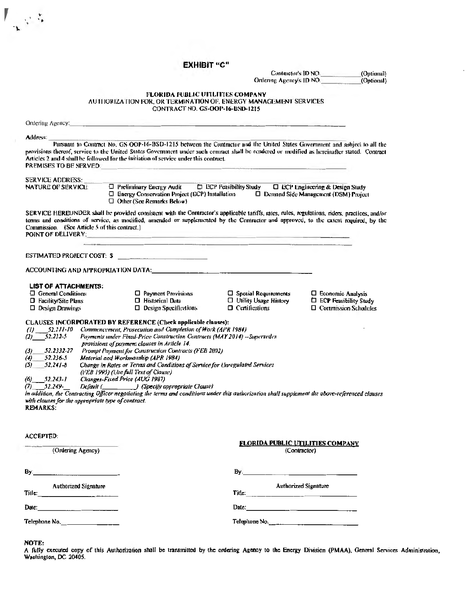|                                                                                                                                                                                                                                                                                         | ЕХНІВІТ "С"                                                                                                                                                                                                                                                                                                                                                                                                                                                                                                                                                                                                                                                                                                                                                     |                                                                                                                                                                                                                                      |                                                        |  |  |  |  |  |
|-----------------------------------------------------------------------------------------------------------------------------------------------------------------------------------------------------------------------------------------------------------------------------------------|-----------------------------------------------------------------------------------------------------------------------------------------------------------------------------------------------------------------------------------------------------------------------------------------------------------------------------------------------------------------------------------------------------------------------------------------------------------------------------------------------------------------------------------------------------------------------------------------------------------------------------------------------------------------------------------------------------------------------------------------------------------------|--------------------------------------------------------------------------------------------------------------------------------------------------------------------------------------------------------------------------------------|--------------------------------------------------------|--|--|--|--|--|
|                                                                                                                                                                                                                                                                                         |                                                                                                                                                                                                                                                                                                                                                                                                                                                                                                                                                                                                                                                                                                                                                                 |                                                                                                                                                                                                                                      | Contractor's ID NO.<br>(Optional)                      |  |  |  |  |  |
|                                                                                                                                                                                                                                                                                         |                                                                                                                                                                                                                                                                                                                                                                                                                                                                                                                                                                                                                                                                                                                                                                 |                                                                                                                                                                                                                                      | Ordering Agency's ID NO.<br>(Optional)                 |  |  |  |  |  |
|                                                                                                                                                                                                                                                                                         | FLORIDA PUBLIC UTILITIES COMPANY<br>AUTHORIZATION FOR, OR TERMINATION OF, ENERGY MANAGEMENT SERVICES<br>CONTRACT NO. GS-OOP-16-BSD-1215                                                                                                                                                                                                                                                                                                                                                                                                                                                                                                                                                                                                                         |                                                                                                                                                                                                                                      |                                                        |  |  |  |  |  |
|                                                                                                                                                                                                                                                                                         | Ondering Agency: and the contract of the contract of the contract of the contract of the contract of the contract of the contract of the contract of the contract of the contract of the contract of the contract of the contr                                                                                                                                                                                                                                                                                                                                                                                                                                                                                                                                  |                                                                                                                                                                                                                                      |                                                        |  |  |  |  |  |
| Address:                                                                                                                                                                                                                                                                                |                                                                                                                                                                                                                                                                                                                                                                                                                                                                                                                                                                                                                                                                                                                                                                 |                                                                                                                                                                                                                                      |                                                        |  |  |  |  |  |
| <b>PREMISES TO BE SERVED.</b>                                                                                                                                                                                                                                                           | Pursuant to Contract No. GS-OOP-16-BSD-1215 between the Contractor and the United States Government and subject to all the<br>provisions thereof, service to the United States Government under such contract shall be rendered or modified as hereinafter stated. Contract<br>Articles 2 and 4 shall be followed for the initiation of service under this contract.                                                                                                                                                                                                                                                                                                                                                                                            |                                                                                                                                                                                                                                      |                                                        |  |  |  |  |  |
| <b>SERVICE ADDRESS:</b>                                                                                                                                                                                                                                                                 |                                                                                                                                                                                                                                                                                                                                                                                                                                                                                                                                                                                                                                                                                                                                                                 |                                                                                                                                                                                                                                      |                                                        |  |  |  |  |  |
| <b>NATURE OF SERVICE:</b>                                                                                                                                                                                                                                                               | $\Box$ Other (See Remarks Below)                                                                                                                                                                                                                                                                                                                                                                                                                                                                                                                                                                                                                                                                                                                                | $\Box$ Preliminary Energy Audit $\Box$ ECP Feasibility Study $\Box$ ECP Engineering & Design Study<br>□ Energy Conservation Project (ECP) Installation □ □ Demand Side Management (DSM) Project                                      |                                                        |  |  |  |  |  |
| Commission. (See Article 5 of this contract.)                                                                                                                                                                                                                                           | SERVICE HEREUNDER shall be provided consistent with the Contractor's applicable tariffs, rates, rules, regulations, riders, practices, and/or<br>terms and conditions of service, as modified, amended or supplemented by the Contractor and approved, to the extent required, by the<br>POINT OF DELIVERY: And the contract of the contract of the contract of the contract of the contract of the contract of the contract of the contract of the contract of the contract of the contract of the contract of the con<br><u> 1989 - Andrea Stadt Andrea Stadt Andrea Stadt Andrea Stadt Andrea Stadt Andrea Stadt Andrea Stadt Andrea Stadt Andrea Stadt Andrea Stadt Andrea Stadt Andrea Stadt Andrea Stadt Andrea Stadt Andrea Stadt Andrea Stadt Andre</u> |                                                                                                                                                                                                                                      |                                                        |  |  |  |  |  |
|                                                                                                                                                                                                                                                                                         | ESTIMATED PROJECT COST: \$                                                                                                                                                                                                                                                                                                                                                                                                                                                                                                                                                                                                                                                                                                                                      |                                                                                                                                                                                                                                      |                                                        |  |  |  |  |  |
|                                                                                                                                                                                                                                                                                         |                                                                                                                                                                                                                                                                                                                                                                                                                                                                                                                                                                                                                                                                                                                                                                 |                                                                                                                                                                                                                                      |                                                        |  |  |  |  |  |
| <b>LIST OF ATTACHMENTS:</b>                                                                                                                                                                                                                                                             |                                                                                                                                                                                                                                                                                                                                                                                                                                                                                                                                                                                                                                                                                                                                                                 |                                                                                                                                                                                                                                      |                                                        |  |  |  |  |  |
| $\Box$ General Conditions                                                                                                                                                                                                                                                               | $\Box$ Payment Provisions                                                                                                                                                                                                                                                                                                                                                                                                                                                                                                                                                                                                                                                                                                                                       | $\Box$ Special Requirements                                                                                                                                                                                                          | $\Box$ Economic Analysis                               |  |  |  |  |  |
| $\Box$ Facility/Site Plans<br>$\Box$ Design Drawings                                                                                                                                                                                                                                    | □ Historical Data<br>$\Box$ Design Specifications                                                                                                                                                                                                                                                                                                                                                                                                                                                                                                                                                                                                                                                                                                               | □ Utility Usage History<br>$\Box$ Certifications                                                                                                                                                                                     | E ECP Feasibility Study<br>$\Box$ Commission Schodules |  |  |  |  |  |
| $(1)$ 52.211-10<br>$(2)$ 52.232-5<br>$\left(3\right)$<br>52.2332-27<br>52.236-5<br>$\left( 4\right)$<br>$52.241 - 8$<br>(5)<br>$(6)$ 52.243-1<br>$(7)$ 52.249-<br>with clauses for the appropriate type of contract.<br><b>REMARKS:</b><br>the contract of the state of the contract of | CLAUSES INCORPORATED BY REFERENCE (Check applicable clauses):<br>Commencement, Prosecution and Completion of Work (APR 1984)<br>Payments under Fixed-Price Construction Contracts (MAY 2014) -- Supersedes<br>provisions of payment clauses in Article 14.<br>Prompt Payment for Construction Contracts (FEB 2002)<br>Material and Workmanship (APR 1984)<br>Change in Rates or Terms and Conditions of Service for Unregulated Services<br>(FEB 1995) (Use full Text of Clause)<br>Changes-Fixed Price (AUG 1987)<br>Default (Specify appropriate Clause)<br>In addition, the Contracting Officer negotiatiog the terms and conditions under this authorization shall supplement the above-referenced clauses                                                  |                                                                                                                                                                                                                                      |                                                        |  |  |  |  |  |
| <b>ACCEPTED:</b>                                                                                                                                                                                                                                                                        |                                                                                                                                                                                                                                                                                                                                                                                                                                                                                                                                                                                                                                                                                                                                                                 | <b>FLORIDA PUBLIC UTILITIES COMPANY</b>                                                                                                                                                                                              |                                                        |  |  |  |  |  |
| (Ordering Agency)                                                                                                                                                                                                                                                                       |                                                                                                                                                                                                                                                                                                                                                                                                                                                                                                                                                                                                                                                                                                                                                                 | (Contractor)                                                                                                                                                                                                                         |                                                        |  |  |  |  |  |
|                                                                                                                                                                                                                                                                                         |                                                                                                                                                                                                                                                                                                                                                                                                                                                                                                                                                                                                                                                                                                                                                                 | By. <u>Denomination of the set of the set of the set of the set of the set of the set of the set of the set of the set of the set of the set of the set of the set of the set of the set of the set of the set of the set of the</u> |                                                        |  |  |  |  |  |
| <b>Authorized Signature</b>                                                                                                                                                                                                                                                             |                                                                                                                                                                                                                                                                                                                                                                                                                                                                                                                                                                                                                                                                                                                                                                 |                                                                                                                                                                                                                                      | <b>Authorized Signature</b>                            |  |  |  |  |  |
|                                                                                                                                                                                                                                                                                         |                                                                                                                                                                                                                                                                                                                                                                                                                                                                                                                                                                                                                                                                                                                                                                 | Date: $\qquad \qquad$                                                                                                                                                                                                                |                                                        |  |  |  |  |  |
| Telephone No.                                                                                                                                                                                                                                                                           |                                                                                                                                                                                                                                                                                                                                                                                                                                                                                                                                                                                                                                                                                                                                                                 | Telephone No.                                                                                                                                                                                                                        |                                                        |  |  |  |  |  |
| <b>NOTE:</b>                                                                                                                                                                                                                                                                            |                                                                                                                                                                                                                                                                                                                                                                                                                                                                                                                                                                                                                                                                                                                                                                 |                                                                                                                                                                                                                                      |                                                        |  |  |  |  |  |

 $\mathbb{F}_q \otimes \mathbb{Z}$ 

A fully executed copy of this Authorization shall be transmitted by the ordering Agency to the Energy Division (PMAA), General Services Administration, Washington, DC 20405.